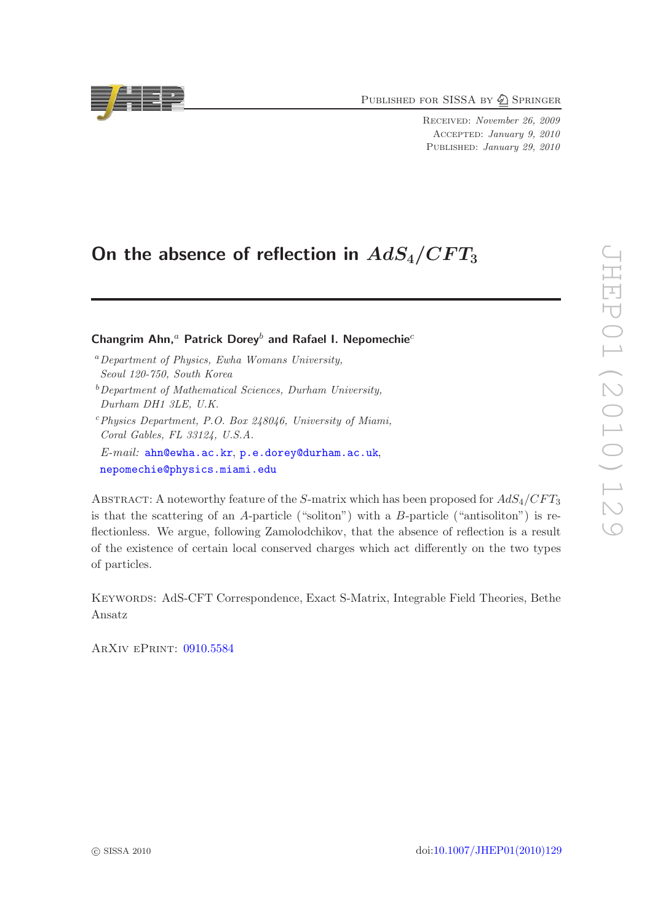PUBLISHED FOR SISSA BY 2 SPRINGER

Received: November 26, 2009 Accepted: January 9, 2010 PUBLISHED: January 29, 2010

# On the absence of reflection in  $AdS_4/CFT_3$

# Changrim Ahn,<sup>a</sup> Patrick Dorey<sup>b</sup> and Rafael I. Nepomechie<sup>c</sup>

- <sup>a</sup>*Department of Physics, Ewha Womans University, Seoul 120-750, South Korea*
- <sup>b</sup>*Department of Mathematical Sciences, Durham University, Durham DH1 3LE, U.K.*
- <sup>c</sup>*Physics Department, P.O. Box 248046, University of Miami, Coral Gables, FL 33124, U.S.A.*
- *E-mail:* [ahn@ewha.ac.kr](mailto:ahn@ewha.ac.kr), [p.e.dorey@durham.ac.uk](mailto:p.e.dorey@durham.ac.uk), [nepomechie@physics.miami.edu](mailto:nepomechie@physics.miami.edu)

ABSTRACT: A noteworthy feature of the S-matrix which has been proposed for  $AdS_4/CFT_3$ is that the scattering of an A-particle ("soliton") with a B-particle ("antisoliton") is reflectionless. We argue, following Zamolodchikov, that the absence of reflection is a result of the existence of certain local conserved charges which act differently on the two types of particles.

Keywords: AdS-CFT Correspondence, Exact S-Matrix, Integrable Field Theories, Bethe Ansatz

ArXiv ePrint: [0910.5584](http://arxiv.org/abs/0910.5584)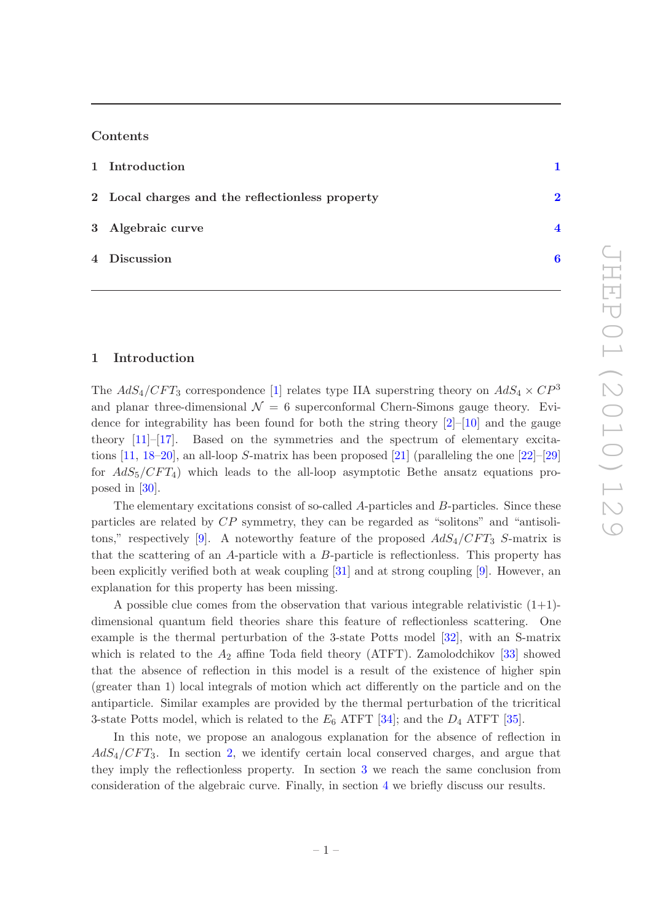## Contents

| 1 Introduction                                  |  |
|-------------------------------------------------|--|
| 2 Local charges and the reflectionless property |  |
| 3 Algebraic curve                               |  |

# 4 Discussion [6](#page-6-0)

### <span id="page-1-0"></span>1 Introduction

The  $AdS_4/CFT_3$  correspondence [\[1\]](#page-7-0) relates type IIA superstring theory on  $AdS_4 \times CP^3$ and planar three-dimensional  $\mathcal{N} = 6$  superconformal Chern-Simons gauge theory. Evidence for integrability has been found for both the string theory  $[2]-[10]$  $[2]-[10]$  $[2]-[10]$  and the gauge theory [\[11](#page-7-3)]–[\[17](#page-8-0)]. Based on the symmetries and the spectrum of elementary excitations  $[11, 18-20]$  $[11, 18-20]$  $[11, 18-20]$ , an all-loop S-matrix has been proposed  $[21]$  (paralleling the one  $[22]-[29]$  $[22]-[29]$ for  $AdS_5/CFT_4$ ) which leads to the all-loop asymptotic Bethe ansatz equations proposed in [\[30\]](#page-8-6).

The elementary excitations consist of so-called A-particles and B-particles. Since these particles are related by CP symmetry, they can be regarded as "solitons" and "antisoli-tons," respectively [\[9](#page-7-4)]. A noteworthy feature of the proposed  $AdS_4/CFT_3$  S-matrix is that the scattering of an A-particle with a B-particle is reflectionless. This property has been explicitly verified both at weak coupling [\[31](#page-8-7)] and at strong coupling [\[9\]](#page-7-4). However, an explanation for this property has been missing.

A possible clue comes from the observation that various integrable relativistic  $(1+1)$ dimensional quantum field theories share this feature of reflectionless scattering. One example is the thermal perturbation of the 3-state Potts model [\[32](#page-8-8)], with an S-matrix which is related to the  $A_2$  affine Toda field theory (ATFT). Zamolodchikov [\[33](#page-8-9)] showed that the absence of reflection in this model is a result of the existence of higher spin (greater than 1) local integrals of motion which act differently on the particle and on the antiparticle. Similar examples are provided by the thermal perturbation of the tricritical 3-state Potts model, which is related to the  $E_6$  ATFT [\[34](#page-8-10)]; and the  $D_4$  ATFT [\[35](#page-8-11)].

In this note, we propose an analogous explanation for the absence of reflection in  $AdS_4/CFT_3$ . In section [2,](#page-2-0) we identify certain local conserved charges, and argue that they imply the reflectionless property. In section [3](#page-4-0) we reach the same conclusion from consideration of the algebraic curve. Finally, in section [4](#page-6-0) we briefly discuss our results.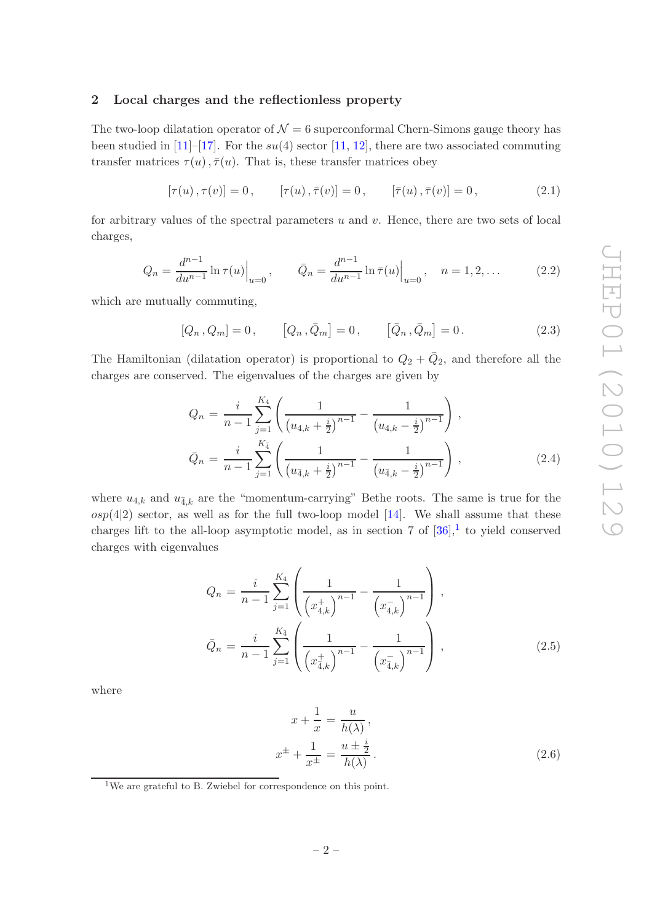## <span id="page-2-0"></span>2 Local charges and the reflectionless property

The two-loop dilatation operator of  $\mathcal{N} = 6$  superconformal Chern-Simons gauge theory has been studied in  $[11]-[17]$  $[11]-[17]$ . For the su(4) sector  $[11, 12]$  $[11, 12]$  $[11, 12]$ , there are two associated commuting transfer matrices  $\tau(u)$ ,  $\bar{\tau}(u)$ . That is, these transfer matrices obey

$$
[\tau(u), \tau(v)] = 0, \qquad [\tau(u), \bar{\tau}(v)] = 0, \qquad [\bar{\tau}(u), \bar{\tau}(v)] = 0, \qquad (2.1)
$$

for arbitrary values of the spectral parameters  $u$  and  $v$ . Hence, there are two sets of local charges,

$$
Q_n = \frac{d^{n-1}}{du^{n-1}} \ln \tau(u) \Big|_{u=0}, \qquad \bar{Q}_n = \frac{d^{n-1}}{du^{n-1}} \ln \bar{\tau}(u) \Big|_{u=0}, \quad n = 1, 2, \dots
$$
 (2.2)

which are mutually commuting,

$$
[Q_n, Q_m] = 0, \qquad [Q_n, \bar{Q}_m] = 0, \qquad [\bar{Q}_n, \bar{Q}_m] = 0.
$$
 (2.3)

The Hamiltonian (dilatation operator) is proportional to  $Q_2 + \bar{Q}_2$ , and therefore all the charges are conserved. The eigenvalues of the charges are given by

<span id="page-2-3"></span>
$$
Q_n = \frac{i}{n-1} \sum_{j=1}^{K_4} \left( \frac{1}{\left(u_{4,k} + \frac{i}{2}\right)^{n-1}} - \frac{1}{\left(u_{4,k} - \frac{i}{2}\right)^{n-1}} \right),
$$
  

$$
\bar{Q}_n = \frac{i}{n-1} \sum_{j=1}^{K_4} \left( \frac{1}{\left(u_{4,k} + \frac{i}{2}\right)^{n-1}} - \frac{1}{\left(u_{4,k} - \frac{i}{2}\right)^{n-1}} \right),
$$
(2.4)

where  $u_{4,k}$  and  $u_{\overline{4},k}$  are the "momentum-carrying" Bethe roots. The same is true for the  $osp(4|2)$  sector, as well as for the full two-loop model [\[14](#page-7-6)]. We shall assume that these charges lift to the all-loop asymptotic model, as in section 7 of  $[36]$ ,<sup>[1](#page-2-1)</sup> to yield conserved charges with eigenvalues

<span id="page-2-2"></span>
$$
Q_n = \frac{i}{n-1} \sum_{j=1}^{K_4} \left( \frac{1}{\left(x_{4,k}^+\right)^{n-1}} - \frac{1}{\left(x_{4,k}^-\right)^{n-1}} \right),
$$
  

$$
\bar{Q}_n = \frac{i}{n-1} \sum_{j=1}^{K_{\bar{4}}} \left( \frac{1}{\left(x_{4,k}^+\right)^{n-1}} - \frac{1}{\left(x_{4,k}^-\right)^{n-1}} \right),
$$
(2.5)

where

$$
x + \frac{1}{x} = \frac{u}{h(\lambda)},
$$
  

$$
x^{\pm} + \frac{1}{x^{\pm}} = \frac{u \pm \frac{i}{2}}{h(\lambda)}.
$$
 (2.6)

<span id="page-2-1"></span><sup>&</sup>lt;sup>1</sup>We are grateful to B. Zwiebel for correspondence on this point.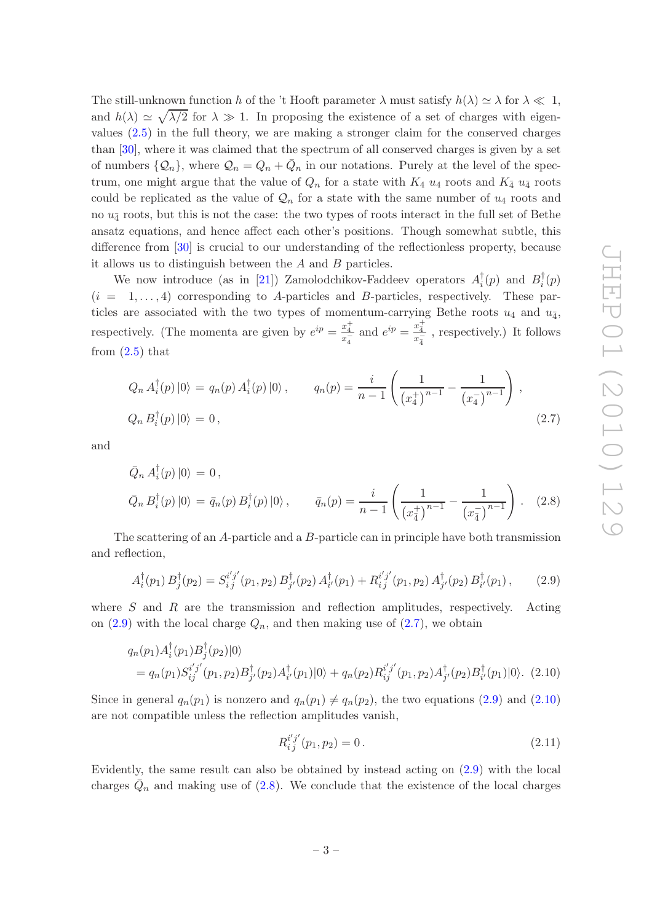The still-unknown function h of the 't Hooft parameter  $\lambda$  must satisfy  $h(\lambda) \simeq \lambda$  for  $\lambda \ll 1$ , and  $h(\lambda) \simeq \sqrt{\lambda/2}$  for  $\lambda \gg 1$ . In proposing the existence of a set of charges with eigenvalues [\(2.5\)](#page-2-2) in the full theory, we are making a stronger claim for the conserved charges than [\[30](#page-8-6)], where it was claimed that the spectrum of all conserved charges is given by a set of numbers  $\{Q_n\}$ , where  $Q_n = Q_n + \bar{Q}_n$  in our notations. Purely at the level of the spectrum, one might argue that the value of  $Q_n$  for a state with  $K_4$   $u_4$  roots and  $K_{\bar{4}}$   $u_{\bar{4}}$  roots could be replicated as the value of  $\mathcal{Q}_n$  for a state with the same number of  $u_4$  roots and no  $u_{\bar{4}}$  roots, but this is not the case: the two types of roots interact in the full set of Bethe ansatz equations, and hence affect each other's positions. Though somewhat subtle, this difference from [\[30](#page-8-6)] is crucial to our understanding of the reflectionless property, because it allows us to distinguish between the  $A$  and  $B$  particles.

We now introduce (as in [\[21](#page-8-3)]) Zamolodchikov-Faddeev operators  $A_i^{\dagger}$  $i^{\dagger}(p)$  and  $B_i^{\dagger}$  $\frac{1}{i}(p)$  $(i = 1, \ldots, 4)$  corresponding to A-particles and B-particles, respectively. These particles are associated with the two types of momentum-carrying Bethe roots  $u_4$  and  $u_{\overline{4}}$ , respectively. (The momenta are given by  $e^{ip} = \frac{x_4^+}{x_4^-}$  and  $e^{ip} = \frac{x_4^+}{x_4^-}$  $\frac{x_{\overline{4}}}{x_{\overline{4}}}$ , respectively.) It follows from  $(2.5)$  that

<span id="page-3-1"></span>
$$
Q_n A_i^{\dagger}(p) |0\rangle = q_n(p) A_i^{\dagger}(p) |0\rangle, \qquad q_n(p) = \frac{i}{n-1} \left( \frac{1}{(x_4^+)^{n-1}} - \frac{1}{(x_4^-)^{n-1}} \right),
$$
  

$$
Q_n B_i^{\dagger}(p) |0\rangle = 0,
$$
 (2.7)

and

<span id="page-3-3"></span>
$$
\bar{Q}_n A_i^{\dagger}(p) \, |0\rangle = 0 \,,
$$
\n
$$
\bar{Q}_n B_i^{\dagger}(p) \, |0\rangle = \bar{q}_n(p) B_i^{\dagger}(p) \, |0\rangle \,, \qquad \bar{q}_n(p) = \frac{i}{n-1} \left( \frac{1}{(x_4^+)^{n-1}} - \frac{1}{(x_4^-)^{n-1}} \right) \,. \tag{2.8}
$$

The scattering of an A-particle and a B-particle can in principle have both transmission and reflection,

<span id="page-3-0"></span>
$$
A_i^{\dagger}(p_1) B_j^{\dagger}(p_2) = S_{i\,j}^{i'\,j'}(p_1, p_2) B_{j'}^{\dagger}(p_2) A_{i'}^{\dagger}(p_1) + R_{i\,j}^{i'\,j'}(p_1, p_2) A_{j'}^{\dagger}(p_2) B_{i'}^{\dagger}(p_1), \qquad (2.9)
$$

where  $S$  and  $R$  are the transmission and reflection amplitudes, respectively. Acting on  $(2.9)$  with the local charge  $Q_n$ , and then making use of  $(2.7)$ , we obtain

<span id="page-3-2"></span>
$$
q_n(p_1)A_i^{\dagger}(p_1)B_j^{\dagger}(p_2)|0\rangle
$$
  
=  $q_n(p_1)S_{ij}^{i'j'}(p_1, p_2)B_{j'}^{\dagger}(p_2)A_{i'}^{\dagger}(p_1)|0\rangle + q_n(p_2)R_{ij}^{i'j'}(p_1, p_2)A_{j'}^{\dagger}(p_2)B_{i'}^{\dagger}(p_1)|0\rangle.$  (2.10)

Since in general  $q_n(p_1)$  is nonzero and  $q_n(p_1) \neq q_n(p_2)$ , the two equations [\(2.9\)](#page-3-0) and [\(2.10\)](#page-3-2) are not compatible unless the reflection amplitudes vanish,

$$
R_{ij}^{i'j'}(p_1, p_2) = 0.
$$
\n(2.11)

Evidently, the same result can also be obtained by instead acting on [\(2.9\)](#page-3-0) with the local charges  $\overline{Q}_n$  and making use of [\(2.8\)](#page-3-3). We conclude that the existence of the local charges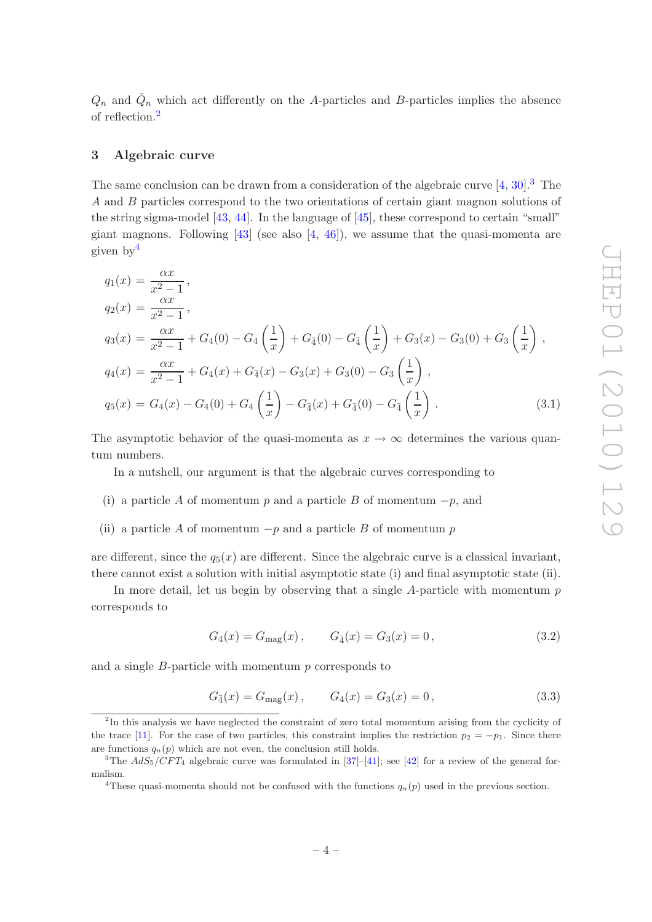$Q_n$  and  $\overline{Q}_n$  which act differently on the A-particles and B-particles implies the absence of reflection.[2](#page-4-1)

#### <span id="page-4-0"></span>3 Algebraic curve

The same conclusion can be drawn from a consideration of the algebraic curve  $[4, 30]$  $[4, 30]$ .<sup>[3](#page-4-2)</sup> The A and B particles correspond to the two orientations of certain giant magnon solutions of the string sigma-model  $[43, 44]$  $[43, 44]$  $[43, 44]$ . In the language of  $[45]$ , these correspond to certain "small" giant magnons. Following  $[43]$  (see also  $[4, 46]$  $[4, 46]$ ), we assume that the quasi-momenta are given by[4](#page-4-3)

<span id="page-4-6"></span>
$$
q_1(x) = \frac{\alpha x}{x^2 - 1},
$$
  
\n
$$
q_2(x) = \frac{\alpha x}{x^2 - 1},
$$
  
\n
$$
q_3(x) = \frac{\alpha x}{x^2 - 1} + G_4(0) - G_4\left(\frac{1}{x}\right) + G_4(0) - G_4\left(\frac{1}{x}\right) + G_3(x) - G_3(0) + G_3\left(\frac{1}{x}\right),
$$
  
\n
$$
q_4(x) = \frac{\alpha x}{x^2 - 1} + G_4(x) + G_4(x) - G_3(x) + G_3(0) - G_3\left(\frac{1}{x}\right),
$$
  
\n
$$
q_5(x) = G_4(x) - G_4(0) + G_4\left(\frac{1}{x}\right) - G_4(x) + G_4(0) - G_4\left(\frac{1}{x}\right).
$$
\n(3.1)

The asymptotic behavior of the quasi-momenta as  $x \to \infty$  determines the various quantum numbers.

In a nutshell, our argument is that the algebraic curves corresponding to

- (i) a particle A of momentum p and a particle B of momentum  $-p$ , and
- (ii) a particle A of momentum  $-p$  and a particle B of momentum p

are different, since the  $q_5(x)$  are different. Since the algebraic curve is a classical invariant, there cannot exist a solution with initial asymptotic state (i) and final asymptotic state (ii).

In more detail, let us begin by observing that a single A-particle with momentum  $p$ corresponds to

<span id="page-4-4"></span>
$$
G_4(x) = G_{\text{mag}}(x), \qquad G_{\bar{4}}(x) = G_3(x) = 0, \tag{3.2}
$$

and a single  $B$ -particle with momentum  $p$  corresponds to

<span id="page-4-5"></span>
$$
G_{\bar{4}}(x) = G_{\text{mag}}(x), \qquad G_4(x) = G_3(x) = 0, \qquad (3.3)
$$

<span id="page-4-1"></span><sup>&</sup>lt;sup>2</sup>In this analysis we have neglected the constraint of zero total momentum arising from the cyclicity of the trace [\[11\]](#page-7-3). For the case of two particles, this constraint implies the restriction  $p_2 = -p_1$ . Since there are functions  $q_n(p)$  which are not even, the conclusion still holds.

<sup>&</sup>lt;sup>3</sup>The  $AdS_5/\tilde{C}FT_4$  algebraic curve was formulated in [\[37](#page-8-13)]–[\[41](#page-9-4)]; see [\[42](#page-9-5)] for a review of the general formalism.

<span id="page-4-3"></span><span id="page-4-2"></span><sup>&</sup>lt;sup>4</sup>These quasi-momenta should not be confused with the functions  $q_n(p)$  used in the previous section.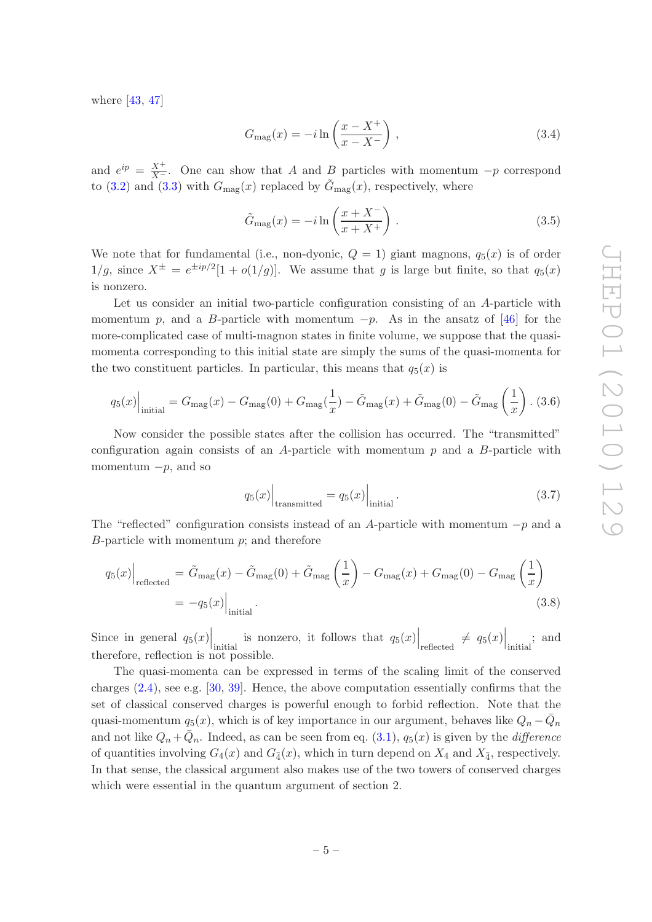where [\[43,](#page-9-0) [47](#page-9-6)]

$$
G_{\rm mag}(x) = -i \ln \left( \frac{x - X^+}{x - X^-} \right) , \qquad (3.4)
$$

and  $e^{ip} = \frac{X^+}{X^-}$ . One can show that A and B particles with momentum  $-p$  correspond to [\(3.2\)](#page-4-4) and [\(3.3\)](#page-4-5) with  $G_{\text{mag}}(x)$  replaced by  $\tilde{G}_{\text{mag}}(x)$ , respectively, where

$$
\tilde{G}_{\text{mag}}(x) = -i \ln \left( \frac{x + X^{-}}{x + X^{+}} \right). \tag{3.5}
$$

We note that for fundamental (i.e., non-dyonic,  $Q = 1$ ) giant magnons,  $q_5(x)$  is of order  $1/g$ , since  $X^{\pm} = e^{\pm ip/2}[1 + o(1/g)]$ . We assume that g is large but finite, so that  $q_5(x)$ is nonzero.

Let us consider an initial two-particle configuration consisting of an A-particle with momentum p, and a B-particle with momentum  $-p$ . As in the ansatz of [\[46](#page-9-3)] for the more-complicated case of multi-magnon states in finite volume, we suppose that the quasimomenta corresponding to this initial state are simply the sums of the quasi-momenta for the two constituent particles. In particular, this means that  $q_5(x)$  is

$$
q_5(x)\Big|_{\text{initial}} = G_{\text{mag}}(x) - G_{\text{mag}}(0) + G_{\text{mag}}(\frac{1}{x}) - \tilde{G}_{\text{mag}}(x) + \tilde{G}_{\text{mag}}(0) - \tilde{G}_{\text{mag}}(\frac{1}{x}) \tag{3.6}
$$

Now consider the possible states after the collision has occurred. The "transmitted" configuration again consists of an  $A$ -particle with momentum  $p$  and a  $B$ -particle with momentum  $-p$ , and so

$$
q_5(x)\Big|_{\text{transmitted}} = q_5(x)\Big|_{\text{initial}}.\tag{3.7}
$$

The "reflected" configuration consists instead of an A-particle with momentum  $-p$  and a  $B$ -particle with momentum  $p$ ; and therefore

$$
q_5(x)\Big|_{\text{reflected}} = \tilde{G}_{\text{mag}}(x) - \tilde{G}_{\text{mag}}(0) + \tilde{G}_{\text{mag}}\left(\frac{1}{x}\right) - G_{\text{mag}}(x) + G_{\text{mag}}(0) - G_{\text{mag}}\left(\frac{1}{x}\right)
$$

$$
= -q_5(x)\Big|_{\text{initial}}.\tag{3.8}
$$

Since in general  $q_5(x)$  is nonzero, it follows that  $q_5(x)$  reflected  $\neq q_5(x)$  initial, and therefore, reflection is not possible.

The quasi-momenta can be expressed in terms of the scaling limit of the conserved charges [\(2.4\)](#page-2-3), see e.g. [\[30,](#page-8-6) [39](#page-9-7)]. Hence, the above computation essentially confirms that the set of classical conserved charges is powerful enough to forbid reflection. Note that the quasi-momentum  $q_5(x)$ , which is of key importance in our argument, behaves like  $Q_n - \overline{Q}_n$ and not like  $Q_n + \overline{Q}_n$ . Indeed, as can be seen from eq.  $(3.1)$ ,  $q_5(x)$  is given by the *difference* of quantities involving  $G_4(x)$  and  $G_{\bar{4}}(x)$ , which in turn depend on  $X_4$  and  $X_{\bar{4}}$ , respectively. In that sense, the classical argument also makes use of the two towers of conserved charges which were essential in the quantum argument of section 2.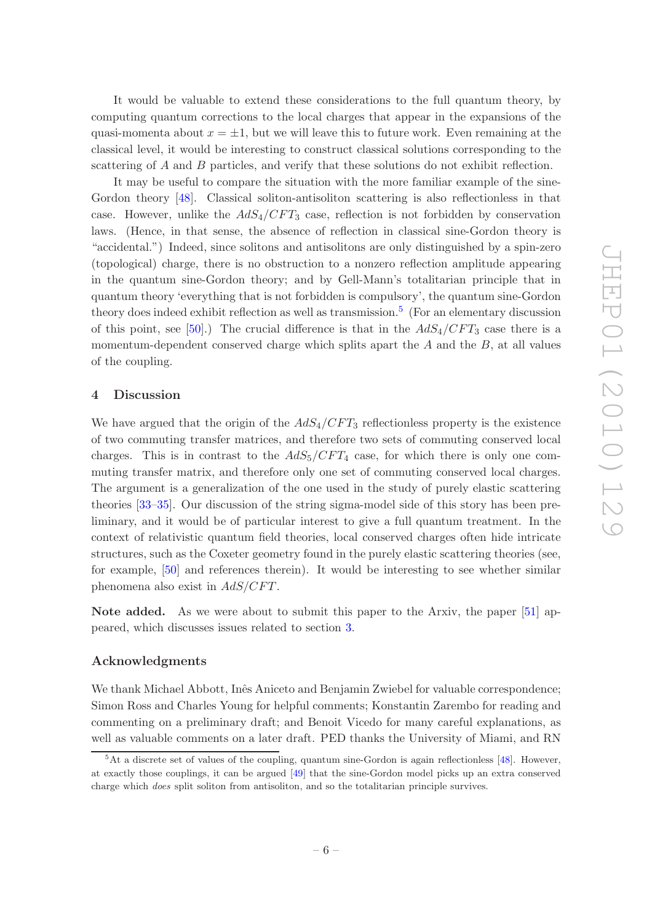It would be valuable to extend these considerations to the full quantum theory, by computing quantum corrections to the local charges that appear in the expansions of the quasi-momenta about  $x = \pm 1$ , but we will leave this to future work. Even remaining at the classical level, it would be interesting to construct classical solutions corresponding to the scattering of A and B particles, and verify that these solutions do not exhibit reflection.

It may be useful to compare the situation with the more familiar example of the sine-Gordon theory [\[48\]](#page-9-8). Classical soliton-antisoliton scattering is also reflectionless in that case. However, unlike the  $AdS_4/CFT_3$  case, reflection is not forbidden by conservation laws. (Hence, in that sense, the absence of reflection in classical sine-Gordon theory is "accidental.") Indeed, since solitons and antisolitons are only distinguished by a spin-zero (topological) charge, there is no obstruction to a nonzero reflection amplitude appearing in the quantum sine-Gordon theory; and by Gell-Mann's totalitarian principle that in quantum theory 'everything that is not forbidden is compulsory', the quantum sine-Gordon theory does indeed exhibit reflection as well as transmission.<sup>[5](#page-6-1)</sup> (For an elementary discussion of this point, see [\[50](#page-9-9)].) The crucial difference is that in the  $AdS_4/CFT_3$  case there is a momentum-dependent conserved charge which splits apart the  $A$  and the  $B$ , at all values of the coupling.

#### <span id="page-6-0"></span>4 Discussion

We have argued that the origin of the  $AdS_4/CFT_3$  reflectionless property is the existence of two commuting transfer matrices, and therefore two sets of commuting conserved local charges. This is in contrast to the  $AdS_5/CFT_4$  case, for which there is only one commuting transfer matrix, and therefore only one set of commuting conserved local charges. The argument is a generalization of the one used in the study of purely elastic scattering theories [\[33](#page-8-9)[–35](#page-8-11)]. Our discussion of the string sigma-model side of this story has been preliminary, and it would be of particular interest to give a full quantum treatment. In the context of relativistic quantum field theories, local conserved charges often hide intricate structures, such as the Coxeter geometry found in the purely elastic scattering theories (see, for example, [\[50](#page-9-9)] and references therein). It would be interesting to see whether similar phenomena also exist in  $AdS/CFT$ .

Note added. As we were about to submit this paper to the Arxiv, the paper [\[51](#page-9-10)] appeared, which discusses issues related to section [3.](#page-4-0)

# Acknowledgments

We thank Michael Abbott, Inês Aniceto and Benjamin Zwiebel for valuable correspondence; Simon Ross and Charles Young for helpful comments; Konstantin Zarembo for reading and commenting on a preliminary draft; and Benoit Vicedo for many careful explanations, as well as valuable comments on a later draft. PED thanks the University of Miami, and RN

<span id="page-6-1"></span> $5$ At a discrete set of values of the coupling, quantum sine-Gordon is again reflectionless [\[48](#page-9-8)]. However, at exactly those couplings, it can be argued [\[49](#page-9-11)] that the sine-Gordon model picks up an extra conserved charge which does split soliton from antisoliton, and so the totalitarian principle survives.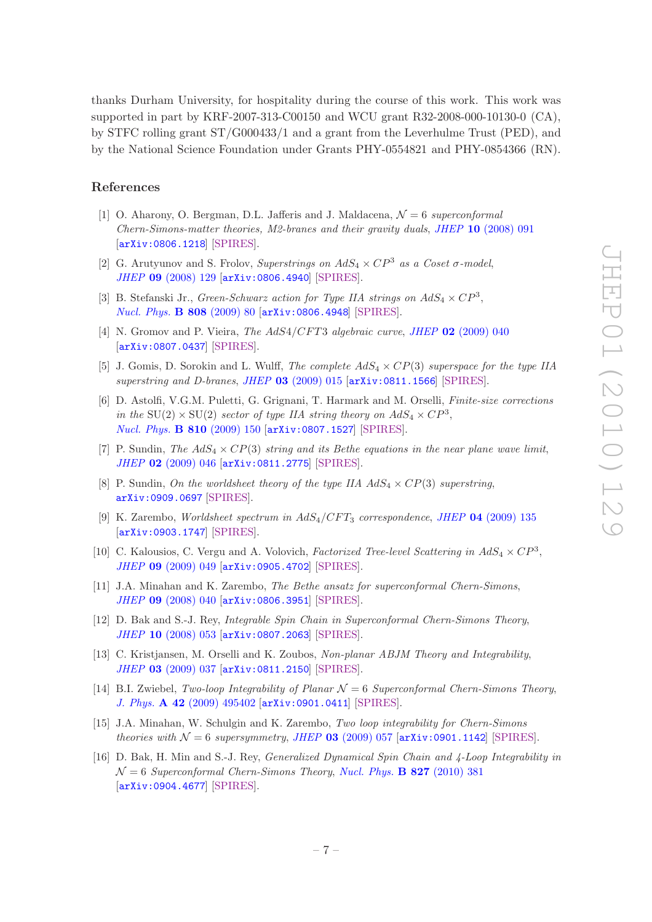thanks Durham University, for hospitality during the course of this work. This work was supported in part by KRF-2007-313-C00150 and WCU grant R32-2008-000-10130-0 (CA), by STFC rolling grant ST/G000433/1 and a grant from the Leverhulme Trust (PED), and by the National Science Foundation under Grants PHY-0554821 and PHY-0854366 (RN).

### References

- <span id="page-7-0"></span>[1] O. Aharony, O. Bergman, D.L. Jafferis and J. Maldacena, N = 6 *superconformal Chern-Simons-matter theories, M2-branes and their gravity duals*, *JHEP* 10 [\(2008\) 091](http://dx.doi.org/10.1088/1126-6708/2008/10/091) [[arXiv:0806.1218](http://arxiv.org/abs/0806.1218)] [\[SPIRES\]](http://www-spires.slac.stanford.edu/spires/find/hep/www?eprint=0806.1218).
- <span id="page-7-1"></span>[2] G. Arutyunov and S. Frolov, *Superstrings on*  $AdS_4 \times CP^3$  *as a Coset*  $\sigma$ *-model*, *JHEP* 09 [\(2008\) 129](http://dx.doi.org/10.1088/1126-6708/2008/09/129) [[arXiv:0806.4940](http://arxiv.org/abs/0806.4940)] [\[SPIRES\]](http://www-spires.slac.stanford.edu/spires/find/hep/www?eprint=0806.4940).
- [3] B. Stefanski Jr., *Green-Schwarz action for Type IIA strings on*  $AdS_4 \times CP^3$ , *[Nucl. Phys.](http://dx.doi.org/10.1016/j.nuclphysb.2008.09.015)* B 808 (2009) 80 [[arXiv:0806.4948](http://arxiv.org/abs/0806.4948)] [\[SPIRES\]](http://www-spires.slac.stanford.edu/spires/find/hep/www?eprint=0806.4948).
- <span id="page-7-7"></span>[4] N. Gromov and P. Vieira, *The AdS4/CFT3 algebraic curve*, *JHEP* 02 [\(2009\) 040](http://dx.doi.org/10.1088/1126-6708/2009/02/040) [[arXiv:0807.0437](http://arxiv.org/abs/0807.0437)] [\[SPIRES\]](http://www-spires.slac.stanford.edu/spires/find/hep/www?eprint=0807.0437).
- [5] J. Gomis, D. Sorokin and L. Wulff, *The complete* AdS<sup>4</sup> × CP(3) *superspace for the type IIA superstring and D-branes*, *JHEP* 03 [\(2009\) 015](http://dx.doi.org/10.1088/1126-6708/2009/03/015) [[arXiv:0811.1566](http://arxiv.org/abs/0811.1566)] [\[SPIRES\]](http://www-spires.slac.stanford.edu/spires/find/hep/www?eprint=0811.1566).
- [6] D. Astolfi, V.G.M. Puletti, G. Grignani, T. Harmark and M. Orselli, *Finite-size corrections in the*  $SU(2) \times SU(2)$  *sector of type IIA string theory on*  $AdS_4 \times CP^3$ *, [Nucl. Phys.](http://dx.doi.org/10.1016/j.nuclphysb.2008.10.020)* B 810 (2009) 150 [[arXiv:0807.1527](http://arxiv.org/abs/0807.1527)] [\[SPIRES\]](http://www-spires.slac.stanford.edu/spires/find/hep/www?eprint=0807.1527).
- [7] P. Sundin, *The*  $AdS_4 \times CP(3)$  *string and its Bethe equations in the near plane wave limit, JHEP* 02 [\(2009\) 046](http://dx.doi.org/10.1088/1126-6708/2009/02/046) [[arXiv:0811.2775](http://arxiv.org/abs/0811.2775)] [\[SPIRES\]](http://www-spires.slac.stanford.edu/spires/find/hep/www?eprint=0811.2775).
- [8] P. Sundin, *On the worldsheet theory of the type IIA*  $AdS_4 \times CP(3)$  *superstring*, [arXiv:0909.0697](http://arxiv.org/abs/0909.0697) [\[SPIRES\]](http://www-spires.slac.stanford.edu/spires/find/hep/www?eprint=0909.0697).
- <span id="page-7-4"></span>[9] K. Zarembo, *Worldsheet spectrum in* AdS4/CF T<sup>3</sup> *correspondence*, *JHEP* 04 [\(2009\) 135](http://dx.doi.org/10.1088/1126-6708/2009/04/135) [[arXiv:0903.1747](http://arxiv.org/abs/0903.1747)] [\[SPIRES\]](http://www-spires.slac.stanford.edu/spires/find/hep/www?eprint=0903.1747).
- <span id="page-7-2"></span>[10] C. Kalousios, C. Vergu and A. Volovich, *Factorized Tree-level Scattering in*  $AdS_4 \times CP^3$ , *JHEP* 09 [\(2009\) 049](http://dx.doi.org/10.1088/1126-6708/2009/09/049) [[arXiv:0905.4702](http://arxiv.org/abs/0905.4702)] [\[SPIRES\]](http://www-spires.slac.stanford.edu/spires/find/hep/www?eprint=0905.4702).
- <span id="page-7-3"></span>[11] J.A. Minahan and K. Zarembo, *The Bethe ansatz for superconformal Chern-Simons*, *JHEP* 09 [\(2008\) 040](http://dx.doi.org/10.1088/1126-6708/2008/09/040) [[arXiv:0806.3951](http://arxiv.org/abs/0806.3951)] [\[SPIRES\]](http://www-spires.slac.stanford.edu/spires/find/hep/www?eprint=0806.3951).
- <span id="page-7-5"></span>[12] D. Bak and S.-J. Rey, *Integrable Spin Chain in Superconformal Chern-Simons Theory*, *JHEP* 10 [\(2008\) 053](http://dx.doi.org/10.1088/1126-6708/2008/10/053) [[arXiv:0807.2063](http://arxiv.org/abs/0807.2063)] [\[SPIRES\]](http://www-spires.slac.stanford.edu/spires/find/hep/www?eprint=0807.2063).
- [13] C. Kristjansen, M. Orselli and K. Zoubos, *Non-planar ABJM Theory and Integrability*, *JHEP* 03 [\(2009\) 037](http://dx.doi.org/10.1088/1126-6708/2009/03/037) [[arXiv:0811.2150](http://arxiv.org/abs/0811.2150)] [\[SPIRES\]](http://www-spires.slac.stanford.edu/spires/find/hep/www?eprint=0811.2150).
- <span id="page-7-6"></span>[14] B.I. Zwiebel, *Two-loop Integrability of Planar* N = 6 *Superconformal Chern-Simons Theory*, *J. Phys.* A 42 [\(2009\) 495402](http://dx.doi.org/10.1088/1751-8113/42/49/495402) [[arXiv:0901.0411](http://arxiv.org/abs/0901.0411)] [\[SPIRES\]](http://www-spires.slac.stanford.edu/spires/find/hep/www?eprint=0901.0411).
- [15] J.A. Minahan, W. Schulgin and K. Zarembo, *Two loop integrability for Chern-Simons theories with*  $\mathcal{N} = 6$  *supersymmetry*, *JHEP* 03 [\(2009\) 057](http://dx.doi.org/10.1088/1126-6708/2009/03/057) [[arXiv:0901.1142](http://arxiv.org/abs/0901.1142)] [\[SPIRES\]](http://www-spires.slac.stanford.edu/spires/find/hep/www?eprint=0901.1142).
- [16] D. Bak, H. Min and S.-J. Rey, *Generalized Dynamical Spin Chain and 4-Loop Integrability in*  $\mathcal{N}=6$  *Superconformal Chern-Simons Theory, [Nucl. Phys.](http://dx.doi.org/10.1016/j.nuclphysb.2009.10.011)* **B 827** (2010) 381 [[arXiv:0904.4677](http://arxiv.org/abs/0904.4677)] [\[SPIRES\]](http://www-spires.slac.stanford.edu/spires/find/hep/www?eprint=0904.4677).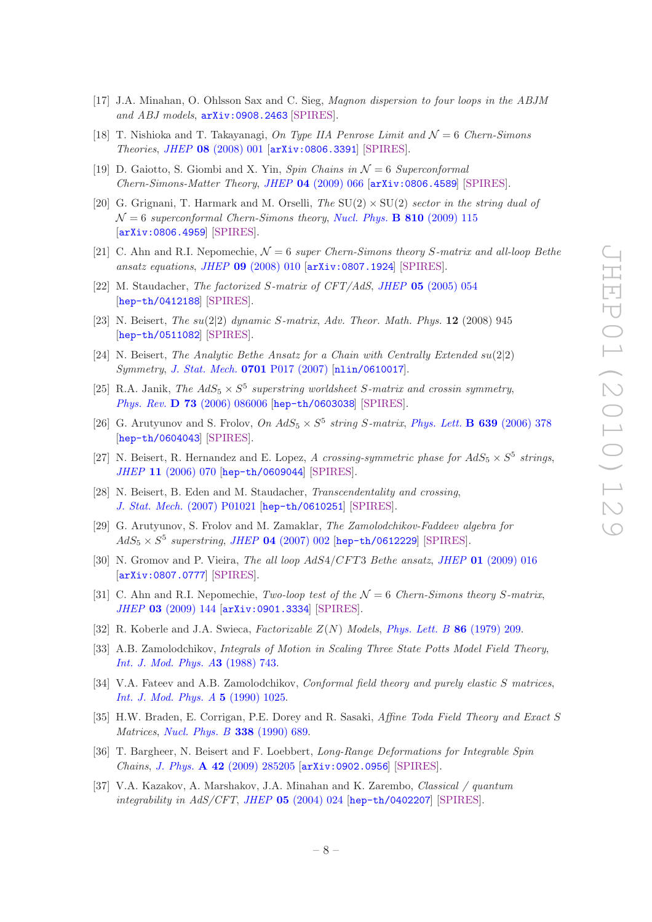- <span id="page-8-0"></span>[17] J.A. Minahan, O. Ohlsson Sax and C. Sieg, *Magnon dispersion to four loops in the ABJM and ABJ models*, [arXiv:0908.2463](http://arxiv.org/abs/0908.2463) [\[SPIRES\]](http://www-spires.slac.stanford.edu/spires/find/hep/www?eprint=0908.2463).
- <span id="page-8-1"></span>[18] T. Nishioka and T. Takayanagi, *On Type IIA Penrose Limit and*  $\mathcal{N}=6$  *Chern-Simons Theories*, *JHEP* 08 [\(2008\) 001](http://dx.doi.org/10.1088/1126-6708/2008/08/001) [[arXiv:0806.3391](http://arxiv.org/abs/0806.3391)] [\[SPIRES\]](http://www-spires.slac.stanford.edu/spires/find/hep/www?eprint=0806.3391).
- [19] D. Gaiotto, S. Giombi and X. Yin, *Spin Chains in* N = 6 *Superconformal Chern-Simons-Matter Theory*, *JHEP* 04 [\(2009\) 066](http://dx.doi.org/10.1088/1126-6708/2009/04/066) [[arXiv:0806.4589](http://arxiv.org/abs/0806.4589)] [\[SPIRES\]](http://www-spires.slac.stanford.edu/spires/find/hep/www?eprint=0806.4589).
- <span id="page-8-2"></span>[20] G. Grignani, T. Harmark and M. Orselli, *The* SU(2) × SU(2) *sector in the string dual of*  $\mathcal{N} = 6$  *superconformal Chern-Simons theory, [Nucl. Phys.](http://dx.doi.org/10.1016/j.nuclphysb.2008.10.019)* **B** 810 (2009) 115 [[arXiv:0806.4959](http://arxiv.org/abs/0806.4959)] [\[SPIRES\]](http://www-spires.slac.stanford.edu/spires/find/hep/www?eprint=0806.4959).
- <span id="page-8-3"></span>[21] C. Ahn and R.I. Nepomechie, N = 6 *super Chern-Simons theory* S*-matrix and all-loop Bethe ansatz equations*, *JHEP* 09 [\(2008\) 010](http://dx.doi.org/10.1088/1126-6708/2008/09/010) [[arXiv:0807.1924](http://arxiv.org/abs/0807.1924)] [\[SPIRES\]](http://www-spires.slac.stanford.edu/spires/find/hep/www?eprint=0807.1924).
- <span id="page-8-4"></span>[22] M. Staudacher, *The factorized* S*-matrix of CFT/AdS*, *JHEP* 05 [\(2005\) 054](http://dx.doi.org/10.1088/1126-6708/2005/05/054) [[hep-th/0412188](http://arxiv.org/abs/hep-th/0412188)] [\[SPIRES\]](http://www-spires.slac.stanford.edu/spires/find/hep/www?eprint=HEP-TH/0412188).
- [23] N. Beisert, *The* su(2|2) *dynamic* S*-matrix*, *Adv. Theor. Math. Phys.* 12 (2008) 945 [[hep-th/0511082](http://arxiv.org/abs/hep-th/0511082)] [\[SPIRES\]](http://www-spires.slac.stanford.edu/spires/find/hep/www?eprint=HEP-TH/0511082).
- [24] N. Beisert, *The Analytic Bethe Ansatz for a Chain with Centrally Extended*  $su(2|2)$ *Symmetry*, *[J. Stat. Mech.](http://dx.doi.org/10.1088/1742-5468/2007/01/P01017)* 0701 P017 (2007) [[nlin/0610017](http://arxiv.org/abs/nlin/0610017)].
- [25] R.A. Janik, *The AdS*<sub>5</sub>  $\times$  S<sup>5</sup> superstring worldsheet S-matrix and crossin symmetry, *Phys. Rev.* D 73 [\(2006\) 086006](http://dx.doi.org/10.1103/PhysRevD.73.086006) [[hep-th/0603038](http://arxiv.org/abs/hep-th/0603038)] [\[SPIRES\]](http://www-spires.slac.stanford.edu/spires/find/hep/www?eprint=HEP-TH/0603038).
- [26] G. Arutyunov and S. Frolov,  $On\ AdS_5 \times S^5$  string S-matrix, *[Phys. Lett.](http://dx.doi.org/10.1016/j.physletb.2006.06.064)* **B 639** (2006) 378 [[hep-th/0604043](http://arxiv.org/abs/hep-th/0604043)] [\[SPIRES\]](http://www-spires.slac.stanford.edu/spires/find/hep/www?eprint=HEP-TH/0604043).
- [27] N. Beisert, R. Hernandez and E. Lopez, *A crossing-symmetric phase for*  $AdS_5 \times S^5$  strings, *JHEP* 11 [\(2006\) 070](http://dx.doi.org/10.1088/1126-6708/2006/11/070) [[hep-th/0609044](http://arxiv.org/abs/hep-th/0609044)] [\[SPIRES\]](http://www-spires.slac.stanford.edu/spires/find/hep/www?eprint=HEP-TH/0609044).
- [28] N. Beisert, B. Eden and M. Staudacher, *Transcendentality and crossing*, *J. Stat. Mech.* [\(2007\) P01021](http://dx.doi.org/10.1088/1742-5468/2007/01/P01021) [[hep-th/0610251](http://arxiv.org/abs/hep-th/0610251)] [\[SPIRES\]](http://www-spires.slac.stanford.edu/spires/find/hep/www?eprint=HEP-TH/0610251).
- <span id="page-8-5"></span>[29] G. Arutyunov, S. Frolov and M. Zamaklar, *The Zamolodchikov-Faddeev algebra for*  $AdS_5 \times S^5$  superstring, JHEP 04 [\(2007\) 002](http://dx.doi.org/10.1088/1126-6708/2007/04/002) [[hep-th/0612229](http://arxiv.org/abs/hep-th/0612229)] [\[SPIRES\]](http://www-spires.slac.stanford.edu/spires/find/hep/www?eprint=HEP-TH/0612229).
- <span id="page-8-6"></span>[30] N. Gromov and P. Vieira, *The all loop AdS4/CFT3 Bethe ansatz*, *JHEP* 01 [\(2009\) 016](http://dx.doi.org/10.1088/1126-6708/2009/01/016) [[arXiv:0807.0777](http://arxiv.org/abs/0807.0777)] [\[SPIRES\]](http://www-spires.slac.stanford.edu/spires/find/hep/www?eprint=0807.0777).
- <span id="page-8-7"></span>[31] C. Ahn and R.I. Nepomechie, *Two-loop test of the*  $\mathcal{N}=6$  *Chern-Simons theory S*-matrix, *JHEP* 03 [\(2009\) 144](http://dx.doi.org/10.1088/1126-6708/2009/03/144) [[arXiv:0901.3334](http://arxiv.org/abs/0901.3334)] [\[SPIRES\]](http://www-spires.slac.stanford.edu/spires/find/hep/www?eprint=0901.3334).
- <span id="page-8-8"></span>[32] R. Koberle and J.A. Swieca, *Factorizable* Z(N) *Models*, *[Phys. Lett. B](http://dx.doi.org/10.1016/0370-2693(79)90822-0)* 86 (1979) 209.
- <span id="page-8-9"></span>[33] A.B. Zamolodchikov, *Integrals of Motion in Scaling Three State Potts Model Field Theory*, *[Int. J. Mod. Phys. A](http://dx.doi.org/10.1142/S0217751X88000333)*3 (1988) 743.
- <span id="page-8-10"></span>[34] V.A. Fateev and A.B. Zamolodchikov, *Conformal field theory and purely elastic* S *matrices*, *[Int. J. Mod. Phys. A](http://dx.doi.org/10.1142/S0217751X90000477)* 5 (1990) 1025.
- <span id="page-8-11"></span>[35] H.W. Braden, E. Corrigan, P.E. Dorey and R. Sasaki, *Affine Toda Field Theory and Exact* S *Matrices*, *[Nucl. Phys. B](http://dx.doi.org/10.1016/0550-3213(90)90648-W)* 338 (1990) 689.
- <span id="page-8-12"></span>[36] T. Bargheer, N. Beisert and F. Loebbert, *Long-Range Deformations for Integrable Spin Chains*, *J. Phys.* A 42 [\(2009\) 285205](http://dx.doi.org/10.1088/1751-8113/42/28/285205) [[arXiv:0902.0956](http://arxiv.org/abs/0902.0956)] [\[SPIRES\]](http://www-spires.slac.stanford.edu/spires/find/hep/www?eprint=0902.0956).
- <span id="page-8-13"></span>[37] V.A. Kazakov, A. Marshakov, J.A. Minahan and K. Zarembo, *Classical / quantum integrability in AdS/CFT*, *JHEP* 05 [\(2004\) 024](http://dx.doi.org/10.1088/1126-6708/2004/05/024) [[hep-th/0402207](http://arxiv.org/abs/hep-th/0402207)] [\[SPIRES\]](http://www-spires.slac.stanford.edu/spires/find/hep/www?eprint=HEP-TH/0402207).